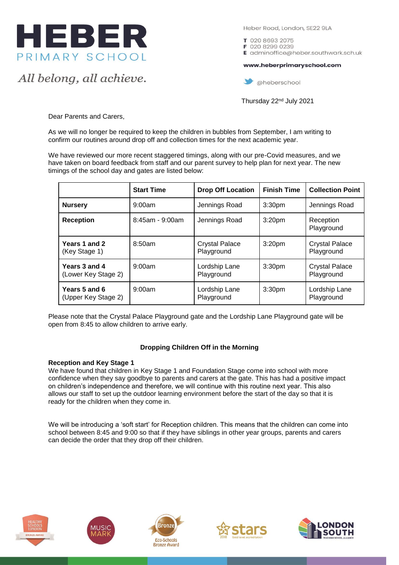

All belong, all achieve.

Heber Road, London, SE22 9LA

T 020 8693 2075 F 020 8299 0239 E adminoffice@heber.southwark.sch.uk

www.heberprimaryschool.com

aheberschool

Thursday 22nd July 2021

Dear Parents and Carers,

As we will no longer be required to keep the children in bubbles from September, I am writing to confirm our routines around drop off and collection times for the next academic year.

We have reviewed our more recent staggered timings, along with our pre-Covid measures, and we have taken on board feedback from staff and our parent survey to help plan for next year. The new timings of the school day and gates are listed below:

|                                      | <b>Start Time</b>     | <b>Drop Off Location</b>            | <b>Finish Time</b> | <b>Collection Point</b>             |
|--------------------------------------|-----------------------|-------------------------------------|--------------------|-------------------------------------|
| <b>Nursery</b>                       | 9:00am                | Jennings Road                       | 3:30 <sub>pm</sub> | Jennings Road                       |
| <b>Reception</b>                     | $8:45$ am - $9:00$ am | Jennings Road                       | 3:20 <sub>pm</sub> | Reception<br>Playground             |
| Years 1 and 2<br>(Key Stage 1)       | 8:50am                | <b>Crystal Palace</b><br>Playground | 3:20 <sub>pm</sub> | <b>Crystal Palace</b><br>Playground |
| Years 3 and 4<br>(Lower Key Stage 2) | $9:00$ am             | Lordship Lane<br>Playground         | 3:30 <sub>pm</sub> | <b>Crystal Palace</b><br>Playground |
| Years 5 and 6<br>(Upper Key Stage 2) | $9:00$ am             | Lordship Lane<br>Playground         | 3:30 <sub>pm</sub> | Lordship Lane<br>Playground         |

Please note that the Crystal Palace Playground gate and the Lordship Lane Playground gate will be open from 8:45 to allow children to arrive early.

# **Dropping Children Off in the Morning**

#### **Reception and Key Stage 1**

We have found that children in Key Stage 1 and Foundation Stage come into school with more confidence when they say goodbye to parents and carers at the gate. This has had a positive impact on children's independence and therefore, we will continue with this routine next year. This also allows our staff to set up the outdoor learning environment before the start of the day so that it is ready for the children when they come in.

We will be introducing a 'soft start' for Reception children. This means that the children can come into school between 8:45 and 9:00 so that if they have siblings in other year groups, parents and carers can decide the order that they drop off their children.









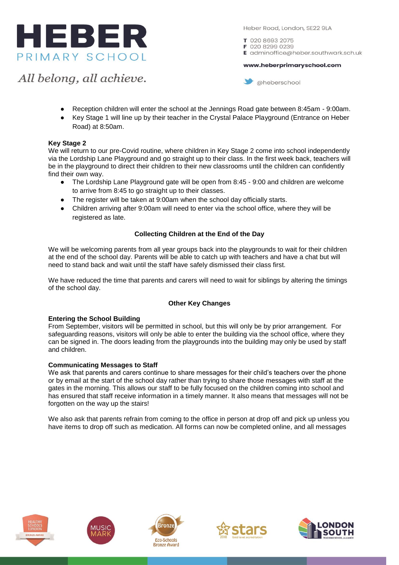

Heber Road, London, SE22 9LA

www.heberprimaryschool.com

T 020 8693 2075 F 020 8299 0239 E adminoffice@heber.southwark.sch.uk

All belong, all achieve.

aheberschool

- Reception children will enter the school at the Jennings Road gate between 8:45am 9:00am.
- Key Stage 1 will line up by their teacher in the Crystal Palace Playground (Entrance on Heber Road) at 8:50am.

## **Key Stage 2**

We will return to our pre-Covid routine, where children in Key Stage 2 come into school independently via the Lordship Lane Playground and go straight up to their class. In the first week back, teachers will be in the playground to direct their children to their new classrooms until the children can confidently find their own way.

- The Lordship Lane Playground gate will be open from 8:45 9:00 and children are welcome to arrive from 8:45 to go straight up to their classes.
- The register will be taken at 9:00am when the school day officially starts.
- Children arriving after 9:00am will need to enter via the school office, where they will be registered as late.

## **Collecting Children at the End of the Day**

We will be welcoming parents from all year groups back into the playgrounds to wait for their children at the end of the school day. Parents will be able to catch up with teachers and have a chat but will need to stand back and wait until the staff have safely dismissed their class first.

We have reduced the time that parents and carers will need to wait for siblings by altering the timings of the school day.

#### **Other Key Changes**

#### **Entering the School Building**

From September, visitors will be permitted in school, but this will only be by prior arrangement. For safeguarding reasons, visitors will only be able to enter the building via the school office, where they can be signed in. The doors leading from the playgrounds into the building may only be used by staff and children.

#### **Communicating Messages to Staff**

We ask that parents and carers continue to share messages for their child's teachers over the phone or by email at the start of the school day rather than trying to share those messages with staff at the gates in the morning. This allows our staff to be fully focused on the children coming into school and has ensured that staff receive information in a timely manner. It also means that messages will not be forgotten on the way up the stairs!

We also ask that parents refrain from coming to the office in person at drop off and pick up unless you have items to drop off such as medication. All forms can now be completed online, and all messages